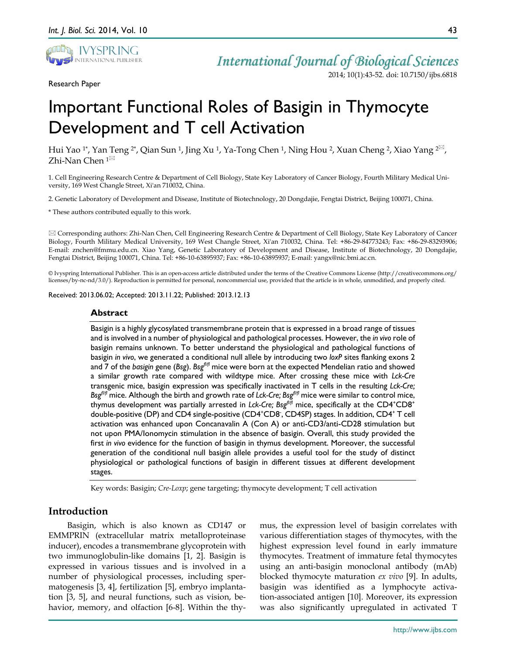

Research Paper

2014; 10(1):43-52. doi: 10.7150/ijbs.6818

# Important Functional Roles of Basigin in Thymocyte Development and T cell Activation

Hui Yao <sup>1</sup>\*, Yan Teng <sup>2</sup>\*, Qian Sun <sup>1</sup>, Jing Xu <sup>1</sup>, Ya-Tong Chen <sup>1</sup>, Ning Hou <sup>2</sup>, Xuan Cheng <sup>2</sup>, Xiao Yang <sup>2⊠</sup>, Zhi-Nan Chen <sup>1⊠</sup>

1. Cell Engineering Research Centre & Department of Cell Biology, State Key Laboratory of Cancer Biology, Fourth Military Medical University, 169 West Changle Street, Xi'an 710032, China.

2. Genetic Laboratory of Development and Disease, Institute of Biotechnology, 20 Dongdajie, Fengtai District, Beijing 100071, China.

\* These authors contributed equally to this work.

 Corresponding authors: Zhi-Nan Chen, Cell Engineering Research Centre & Department of Cell Biology, State Key Laboratory of Cancer Biology, Fourth Military Medical University, 169 West Changle Street, Xi'an 710032, China. Tel: +86-29-84773243; Fax: +86-29-83293906; E-mail: znchen@fmmu.edu.cn. Xiao Yang, Genetic Laboratory of Development and Disease, Institute of Biotechnology, 20 Dongdajie, Fengtai District, Beijing 100071, China. Tel: +86-10-63895937; Fax: +86-10-63895937; E-mail: yangx@nic.bmi.ac.cn.

© Ivyspring International Publisher. This is an open-access article distributed under the terms of the Creative Commons License (http://creativecommons.org/ licenses/by-nc-nd/3.0/). Reproduction is permitted for personal, noncommercial use, provided that the article is in whole, unmodified, and properly cited.

Received: 2013.06.02; Accepted: 2013.11.22; Published: 2013.12.13

#### **Abstract**

Basigin is a highly glycosylated transmembrane protein that is expressed in a broad range of tissues and is involved in a number of physiological and pathological processes. However, the *in vivo* role of basigin remains unknown. To better understand the physiological and pathological functions of basigin *in vivo*, we generated a conditional null allele by introducing two *loxP* sites flanking exons 2 and 7 of the *basigin* gene (*Bsg*). *Bsgfl/fl* mice were born at the expected Mendelian ratio and showed a similar growth rate compared with wildtype mice. After crossing these mice with *Lck-Cre* transgenic mice, basigin expression was specifically inactivated in T cells in the resulting *Lck-Cre; Bsgfl/fl* mice. Although the birth and growth rate of *Lck-Cre; Bsgfl/fl* mice were similar to control mice, thymus development was partially arrested in *Lck-Cre; Bsg<sup>f1ff</sup> m*ice, specifically at the CD4<sup>+</sup>CD8<sup>+</sup> double-positive (DP) and CD4 single-positive (CD4<sup>+</sup>CD8<sup>-</sup>, CD4SP) stages. In addition, CD4<sup>+</sup> T cell activation was enhanced upon Concanavalin A (Con A) or anti-CD3/anti-CD28 stimulation but not upon PMA/Ionomycin stimulation in the absence of basigin. Overall, this study provided the first *in vivo* evidence for the function of basigin in thymus development. Moreover, the successful generation of the conditional null basigin allele provides a useful tool for the study of distinct physiological or pathological functions of basigin in different tissues at different development stages.

Key words: Basigin; *Cre-Loxp*; gene targeting; thymocyte development; T cell activation

## **Introduction**

Basigin, which is also known as CD147 or EMMPRIN (extracellular matrix metalloproteinase inducer), encodes a transmembrane glycoprotein with two immunoglobulin-like domains [1, 2]. Basigin is expressed in various tissues and is involved in a number of physiological processes, including spermatogenesis [3, 4], fertilization [5], embryo implantation [3, 5], and neural functions, such as vision, behavior, memory, and olfaction [6-8]. Within the thymus, the expression level of basigin correlates with various differentiation stages of thymocytes, with the highest expression level found in early immature thymocytes. Treatment of immature fetal thymocytes using an anti-basigin monoclonal antibody (mAb) blocked thymocyte maturation *ex vivo* [9]. In adults, basigin was identified as a lymphocyte activation-associated antigen [10]. Moreover, its expression was also significantly upregulated in activated T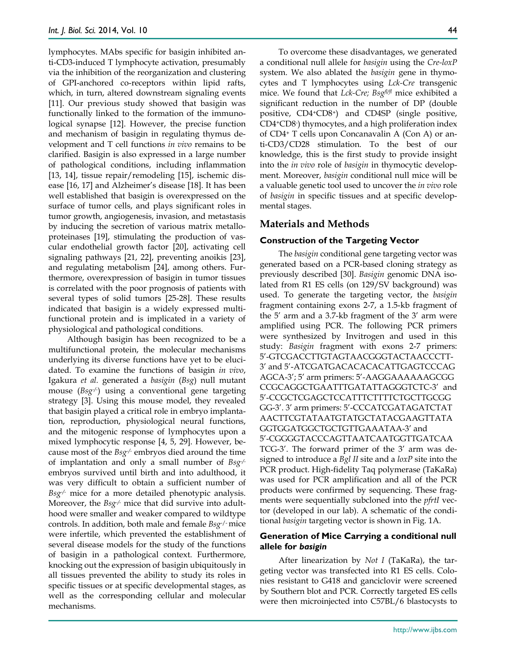lymphocytes. MAbs specific for basigin inhibited anti-CD3-induced T lymphocyte activation, presumably via the inhibition of the reorganization and clustering of GPI-anchored co-receptors within lipid rafts, which, in turn, altered downstream signaling events [11]. Our previous study showed that basigin was functionally linked to the formation of the immunological synapse [12]. However, the precise function and mechanism of basigin in regulating thymus development and T cell functions *in vivo* remains to be clarified. Basigin is also expressed in a large number of pathological conditions, including inflammation [13, 14], tissue repair/remodeling [15], ischemic disease [16, 17] and Alzheimer's disease [18]. It has been well established that basigin is overexpressed on the surface of tumor cells, and plays significant roles in tumor growth, angiogenesis, invasion, and metastasis by inducing the secretion of various matrix metalloproteinases [19], stimulating the production of vascular endothelial growth factor [20], activating cell signaling pathways [21, 22], preventing anoikis [23], and regulating metabolism [24], among others. Furthermore, overexpression of basigin in tumor tissues is correlated with the poor prognosis of patients with several types of solid tumors [25-28]. These results indicated that basigin is a widely expressed multifunctional protein and is implicated in a variety of physiological and pathological conditions.

Although basigin has been recognized to be a multifunctional protein, the molecular mechanisms underlying its diverse functions have yet to be elucidated. To examine the functions of basigin *in vivo*, Igakura *et al.* generated a *basigin* (*Bsg*) null mutant mouse (*Bsg-/-* ) using a conventional gene targeting strategy [3]. Using this mouse model, they revealed that basigin played a critical role in embryo implantation, reproduction, physiological neural functions, and the mitogenic response of lymphocytes upon a mixed lymphocytic response [4, 5, 29]. However, because most of the *Bsg-/-* embryos died around the time of implantation and only a small number of *Bsg-/* embryos survived until birth and into adulthood, it was very difficult to obtain a sufficient number of *Bsg-/-* mice for a more detailed phenotypic analysis. Moreover, the *Bsg-/-* mice that did survive into adulthood were smaller and weaker compared to wildtype controls. In addition, both male and female *Bsg*-/- mice were infertile, which prevented the establishment of several disease models for the study of the functions of basigin in a pathological context. Furthermore, knocking out the expression of basigin ubiquitously in all tissues prevented the ability to study its roles in specific tissues or at specific developmental stages, as well as the corresponding cellular and molecular mechanisms.

To overcome these disadvantages, we generated a conditional null allele for *basigin* using the *Cre-loxP* system. We also ablated the *basigin* gene in thymocytes and T lymphocytes using *Lck-Cre* transgenic mice. We found that *Lck-Cre; Bsgfl/fl* mice exhibited a significant reduction in the number of DP (double positive, CD4+CD8+) and CD4SP (single positive, CD4+CD8- ) thymocytes, and a high proliferation index of CD4+ T cells upon Concanavalin A (Con A) or anti-CD3/CD28 stimulation. To the best of our knowledge, this is the first study to provide insight into the *in vivo* role of *basigin* in thymocytic development. Moreover, *basigin* conditional null mice will be a valuable genetic tool used to uncover the *in vivo* role of *basigin* in specific tissues and at specific developmental stages.

## **Materials and Methods**

#### **Construction of the Targeting Vector**

The *basigin* conditional gene targeting vector was generated based on a PCR-based cloning strategy as previously described [30]. *Basigin* genomic DNA isolated from R1 ES cells (on 129/SV background) was used. To generate the targeting vector, the *basigin* fragment containing exons 2-7, a 1.5-kb fragment of the 5' arm and a 3.7-kb fragment of the 3' arm were amplified using PCR. The following PCR primers were synthesized by Invitrogen and used in this study: *Basigin* fragment with exons 2-7 primers: 5'-GTCGACCTTGTAGTAACGGGTACTAACCCTT-3' and 5'-ATCGATGACACACACATTGAGTCCCAG AGCA-3'; 5' arm primers: 5'-AAGGAAAAAAGCGG CCGCAGGCTGAATTTGATATTAGGGTCTC-3' and 5'-CCGCTCGAGCTCCATTTCTTTTCTGCTTGCGG GG-3'. 3' arm primers: 5'-CCCATCGATAGATCTAT AACTTCGTATAATGTATGCTATACGAAGTTATA GGTGGATGGCTGCTGTTGAAATAA-3' and 5'-CGGGGTACCCAGTTAATCAATGGTTGATCAA TCG-3'. The forward primer of the 3' arm was designed to introduce a *Bgl II* site and a *loxP* site into the PCR product. High-fidelity Taq polymerase (TaKaRa) was used for PCR amplification and all of the PCR products were confirmed by sequencing. These fragments were sequentially subcloned into the *pfrtI* vector (developed in our lab). A schematic of the conditional *basigin* targeting vector is shown in Fig. 1A.

## **Generation of Mice Carrying a conditional null allele for** *basigin*

After linearization by *Not I* (TaKaRa), the targeting vector was transfected into R1 ES cells. Colonies resistant to G418 and ganciclovir were screened by Southern blot and PCR. Correctly targeted ES cells were then microinjected into C57BL/6 blastocysts to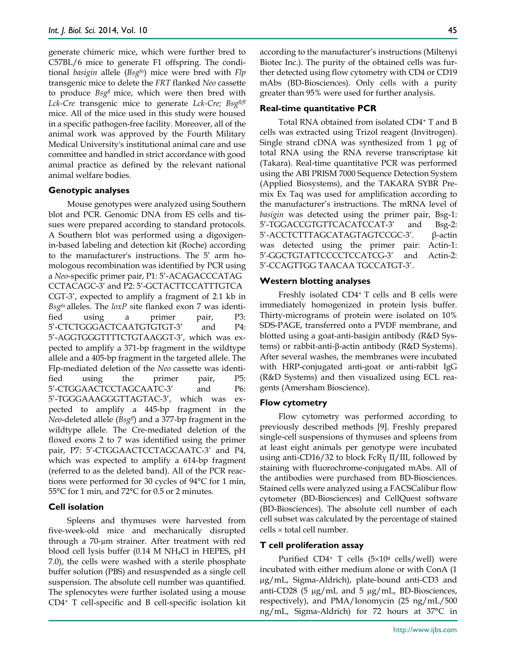generate chimeric mice, which were further bred to C57BL/6 mice to generate F1 offspring. The conditional *basigin* allele (*Bsgfn*) mice were bred with *Flp* transgenic mice to delete the *FRT* flanked *Neo* cassette to produce *Bsgfl* mice, which were then bred with *Lck-Cre* transgenic mice to generate *Lck-Cre; Bsgfl/fl* mice. All of the mice used in this study were housed in a specific pathogen-free facility. Moreover, all of the animal work was approved by the Fourth Military Medical University's institutional animal care and use committee and handled in strict accordance with good animal practice as defined by the relevant national animal welfare bodies.

#### **Genotypic analyses**

Mouse genotypes were analyzed using Southern blot and PCR. Genomic DNA from ES cells and tissues were prepared according to standard protocols. A Southern blot was performed using a digoxigenin-based labeling and detection kit (Roche) according to the manufacturer's instructions. The 5' arm homologous recombination was identified by PCR using a *Neo*-specific primer pair, P1: 5'-ACAGACCCATAG CCTACAGC-3' and P2: 5'-GCTACTTCCATTTGTCA CGT-3', expected to amplify a fragment of 2.1 kb in *Bsgfn* alleles. The *loxP* site flanked exon 7 was identified using a primer pair, P3: 5'-CTCTGGGACTCAATGTGTGT-3' and P4: 5'-AGGTGGGTTTTCTGTAAGGT-3', which was expected to amplify a 371-bp fragment in the wildtype allele and a 405-bp fragment in the targeted allele. The Flp-mediated deletion of the *Neo* cassette was identified using the primer pair, P5: 5'-CTGGAACTCCTAGCAATC-3' and P6: 5'-TGGGAAAGGGTTAGTAC-3', which was expected to amplify a 445-bp fragment in the *Neo*-deleted allele (*Bsgfl*) and a 377-bp fragment in the wildtype allele. The Cre-mediated deletion of the floxed exons 2 to 7 was identified using the primer pair, P7: 5'-CTGGAACTCCTAGCAATC-3' and P4, which was expected to amplify a 614-bp fragment (referred to as the deleted band). All of the PCR reactions were performed for 30 cycles of 94°C for 1 min, 55°C for 1 min, and 72°C for 0.5 or 2 minutes.

## **Cell isolation**

Spleens and thymuses were harvested from five-week-old mice and mechanically disrupted through a 70-µm strainer. After treatment with red blood cell lysis buffer (0.14 M NH4Cl in HEPES, pH 7.0), the cells were washed with a sterile phosphate buffer solution (PBS) and resuspended as a single cell suspension. The absolute cell number was quantified. The splenocytes were further isolated using a mouse CD4+ T cell-specific and B cell-specific isolation kit according to the manufacturer's instructions (Miltenyi Biotec Inc.). The purity of the obtained cells was further detected using flow cytometry with CD4 or CD19 mAbs (BD-Biosciences). Only cells with a purity greater than 95% were used for further analysis.

#### **Real-time quantitative PCR**

Total RNA obtained from isolated CD4+ T and B cells was extracted using Trizol reagent (Invitrogen). Single strand cDNA was synthesized from 1 μg of total RNA using the RNA reverse transcriptase kit (Takara). Real-time quantitative PCR was performed using the ABI PRISM 7000 Sequence Detection System (Applied Biosystems), and the TAKARA SYBR Premix Ex Taq was used for amplification according to the manufacturer's instructions. The mRNA level of *basigin* was detected using the primer pair, Bsg-1: 5'-TGGACCGTGTTCACATCCAT-3' and Bsg-2: 5'-ACCTCTTTAGCATAGTAGTCCGC-3'. β-actin was detected using the primer pair: Actin-1: 5'-GGCTGTATTCCCCTCCATCG-3' and Actin-2: 5'-CCAGTTGG TAACAA TGCCATGT-3'.

#### **Western blotting analyses**

Freshly isolated CD4+ T cells and B cells were immediately homogenized in protein lysis buffer. Thirty-micrograms of protein were isolated on 10% SDS-PAGE, transferred onto a PVDF membrane, and blotted using a goat-anti-basigin antibody (R&D Systems) or rabbit-anti-β-actin antibody (R&D Systems). After several washes, the membranes were incubated with HRP-conjugated anti-goat or anti-rabbit IgG (R&D Systems) and then visualized using ECL reagents (Amersham Bioscience).

#### **Flow cytometry**

Flow cytometry was performed according to previously described methods [9]. Freshly prepared single-cell suspensions of thymuses and spleens from at least eight animals per genotype were incubated using anti-CD16/32 to block FcRγ II/III, followed by staining with fluorochrome-conjugated mAbs. All of the antibodies were purchased from BD-Biosciences. Stained cells were analyzed using a FACSCalibur flow cytometer (BD-Biosciences) and CellQuest software (BD-Biosciences). The absolute cell number of each cell subset was calculated by the percentage of stained cells × total cell number.

#### **T cell proliferation assay**

Purified CD4+ T cells (5×104 cells/well) were incubated with either medium alone or with ConA (1 µg/mL, Sigma-Aldrich), plate-bound anti-CD3 and anti-CD28 (5 µg/mL and 5 µg/mL, BD-Biosciences, respectively), and PMA/Ionomycin (25 ng/mL/500 ng/mL, Sigma-Aldrich) for 72 hours at 37°C in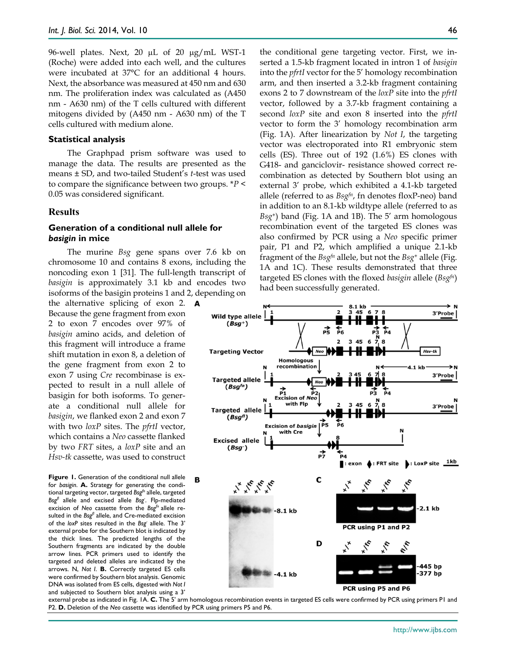96-well plates. Next, 20 µL of 20 µg/mL WST-1 (Roche) were added into each well, and the cultures were incubated at 37°C for an additional 4 hours. Next, the absorbance was measured at 450 nm and 630 nm. The proliferation index was calculated as (A450 nm - A630 nm) of the T cells cultured with different mitogens divided by (A450 nm - A630 nm) of the T cells cultured with medium alone.

#### **Statistical analysis**

The Graphpad prism software was used to manage the data. The results are presented as the means ± SD, and two-tailed Student's *t*-test was used to compare the significance between two groups. \**P* < 0.05 was considered significant.

#### **Results**

## **Generation of a conditional null allele for**  *basigin* **in mice**

The murine *Bsg* gene spans over 7.6 kb on chromosome 10 and contains 8 exons, including the noncoding exon 1 [31]. The full-length transcript of *basigin* is approximately 3.1 kb and encodes two isoforms of the basigin proteins 1 and 2, depending on

the alternative splicing of exon 2. **A** Because the gene fragment from exon 2 to exon 7 encodes over 97% of *basigin* amino acids, and deletion of this fragment will introduce a frame shift mutation in exon 8, a deletion of the gene fragment from exon 2 to exon 7 using *Cre* recombinase is expected to result in a null allele of basigin for both isoforms. To generate a conditional null allele for *basigin*, we flanked exon 2 and exon 7 with two *loxP* sites. The *pfrtI* vector, which contains a *Neo* cassette flanked by two *FRT* sites, a *loxP* site and an *Hsv-tk* cassette, was used to construct

Figure 1. Generation of the conditional null allele for *basigin*. **A.** Strategy for generating the conditional targeting vector, targeted *Bsgfn* allele, targeted *Bsgfl* allele and excised allele *Bsg-* . Flp-mediated excision of *Neo* cassette from the *Bsgfn* allele resulted in the *Bsgfl* allele, and Cre-mediated excision of the *loxP* sites resulted in the *Bsg-* allele. The 3' external probe for the Southern blot is indicated by the thick lines. The predicted lengths of the Southern fragments are indicated by the double arrow lines. PCR primers used to identify the targeted and deleted alleles are indicated by the arrows. N, *Not I*. **B.** Correctly targeted ES cells were confirmed by Southern blot analysis. Genomic DNA was isolated from ES cells, digested with *Not I* and subjected to Southern blot analysis using a 3'

the conditional gene targeting vector. First, we inserted a 1.5-kb fragment located in intron 1 of *basigin*  into the *pfrtI* vector for the 5' homology recombination arm, and then inserted a 3.2-kb fragment containing exons 2 to 7 downstream of the *loxP* site into the *pfrtI* vector, followed by a 3.7-kb fragment containing a second *loxP* site and exon 8 inserted into the *pfrtI* vector to form the 3' homology recombination arm (Fig. 1A). After linearization by *Not I*, the targeting vector was electroporated into R1 embryonic stem cells (ES). Three out of 192 (1.6%) ES clones with G418- and ganciclovir- resistance showed correct recombination as detected by Southern blot using an external 3' probe, which exhibited a 4.1-kb targeted allele (referred to as *Bsgfn*, fn denotes floxP-neo) band in addition to an 8.1-kb wildtype allele (referred to as *Bsg+*) band (Fig. 1A and 1B). The 5' arm homologous recombination event of the targeted ES clones was also confirmed by PCR using a *Neo* specific primer pair, P1 and P2, which amplified a unique 2.1-kb fragment of the *Bsgfn* allele, but not the *Bsg+* allele (Fig. 1A and 1C). These results demonstrated that three targeted ES clones with the floxed *basigin* allele (*Bsgfn*) had been successfully generated.



external probe as indicated in Fig. 1A. **C.** The 5' arm homologous recombination events in targeted ES cells were confirmed by PCR using primers P1 and P2. **D.** Deletion of the *Neo* cassette was identified by PCR using primers P5 and P6.

B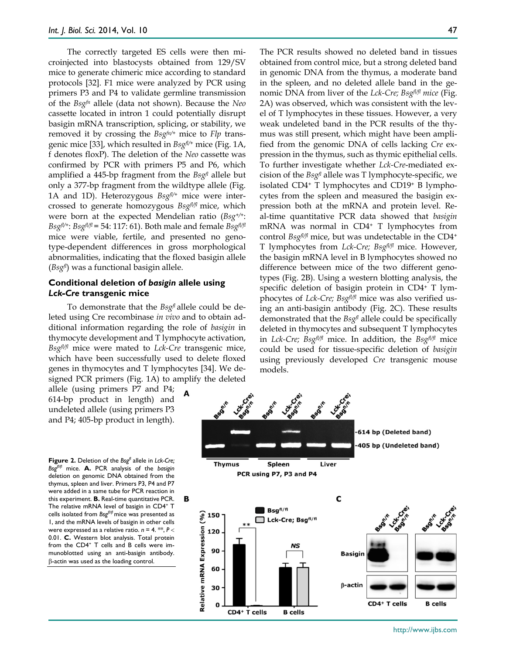The correctly targeted ES cells were then microinjected into blastocysts obtained from 129/SV mice to generate chimeric mice according to standard protocols [32]. F1 mice were analyzed by PCR using primers P3 and P4 to validate germline transmission of the *Bsgfn* allele (data not shown). Because the *Neo*  cassette located in intron 1 could potentially disrupt basigin mRNA transcription, splicing, or stability, we removed it by crossing the *Bsgfn/+* mice to *Flp* transgenic mice [33], which resulted in *Bsgfl/+* mice (Fig. 1A, f denotes floxP). The deletion of the *Neo* cassette was confirmed by PCR with primers P5 and P6, which amplified a 445-bp fragment from the *Bsgfl* allele but only a 377-bp fragment from the wildtype allele (Fig. 1A and 1D). Heterozygous *Bsgfl/+* mice were intercrossed to generate homozygous *Bsgfl/fl* mice, which were born at the expected Mendelian ratio (*Bsg+/+*: *Bsgfl/+*: *Bsgfl/fl* = 54: 117: 61). Both male and female *Bsgfl/fl* mice were viable, fertile, and presented no genotype-dependent differences in gross morphological abnormalities, indicating that the floxed basigin allele (*Bsgfl* ) was a functional basigin allele.

## **Conditional deletion of** *basigin* **allele using**  *Lck-Cre* **transgenic mice**

To demonstrate that the *Bsgfl* allele could be deleted using Cre recombinase *in vivo* and to obtain additional information regarding the role of *basigin* in thymocyte development and T lymphocyte activation, *Bsgfl/fl* mice were mated to *Lck-Cre* transgenic mice, which have been successfully used to delete floxed genes in thymocytes and T lymphocytes [34]. We designed PCR primers (Fig. 1A) to amplify the deleted

allele (using primers P7 and P4; 614-bp product in length) and undeleted allele (using primers P3 and P4; 405-bp product in length).

**Figure 2.** Deletion of the *Bsgfl* allele in *Lck-Cre; Bsgfl/fl* mice. **A.** PCR analysis of the *basigin* deletion on genomic DNA obtained from the thymus, spleen and liver. Primers P3, P4 and P7 were added in a same tube for PCR reaction in this experiment. **B.** Real-time quantitative PCR. The relative mRNA level of basigin in CD4<sup>+</sup> T cells isolated from *Bsgfl/fl* mice was presented as 1, and the mRNA levels of basigin in other cells were expressed as a relative ratio.  $n = 4$ . \*\*,  $P <$ 0.01. **C.** Western blot analysis. Total protein from the CD4<sup>+</sup> T cells and B cells were immunoblotted using an anti-basigin antibody. β-actin was used as the loading control.

The PCR results showed no deleted band in tissues obtained from control mice, but a strong deleted band in genomic DNA from the thymus, a moderate band in the spleen, and no deleted allele band in the genomic DNA from liver of the *Lck-Cre; Bsgfl/fl mice* (Fig. 2A) was observed, which was consistent with the level of T lymphocytes in these tissues. However, a very weak undeleted band in the PCR results of the thymus was still present, which might have been amplified from the genomic DNA of cells lacking *Cre* expression in the thymus, such as thymic epithelial cells. To further investigate whether *Lck-Cre*-mediated excision of the *Bsgfl* allele was T lymphocyte-specific, we isolated CD4+ T lymphocytes and CD19+ B lymphocytes from the spleen and measured the basigin expression both at the mRNA and protein level. Real-time quantitative PCR data showed that *basigin*  mRNA was normal in CD4+ T lymphocytes from control *Bsgfl/fl* mice, but was undetectable in the CD4+ T lymphocytes from *Lck-Cre; Bsgfl/fl* mice. However, the basigin mRNA level in B lymphocytes showed no difference between mice of the two different genotypes (Fig. 2B). Using a western blotting analysis, the specific deletion of basigin protein in CD4+ T lymphocytes of *Lck-Cre; Bsgfl/fl* mice was also verified using an anti-basigin antibody (Fig. 2C). These results demonstrated that the *Bsgfl* allele could be specifically deleted in thymocytes and subsequent T lymphocytes in *Lck-Cre; Bsgfl/fl* mice. In addition, the *Bsgfl/fl* mice could be used for tissue-specific deletion of *basigin* using previously developed *Cre* transgenic mouse models.

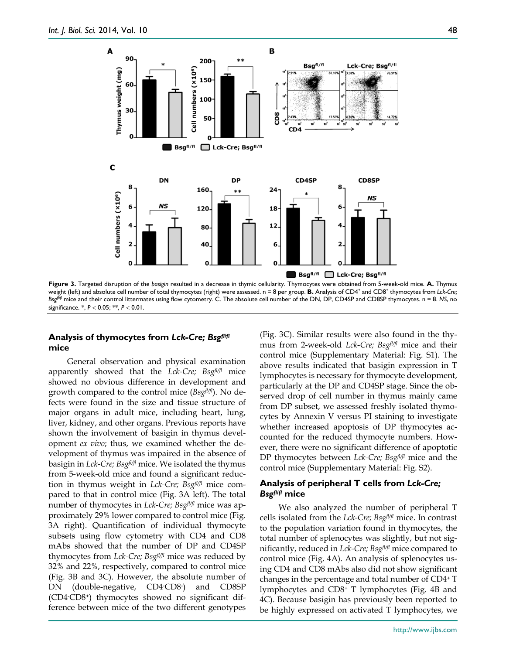

**Figure 3.** Targeted disruption of the *basigin* resulted in a decrease in thymic cellularity. Thymocytes were obtained from 5-week-old mice. **A.** Thymus weight (left) and absolute cell number of total thymocytes (right) were assessed. n = 8 per group. **B.** Analysis of CD4<sup>+</sup> and CD8<sup>+</sup> thymocytes from *Lck-Cre*; *Bsgfl/fl* mice and their control littermates using flow cytometry. C. The absolute cell number of the DN, DP, CD4SP and CD8SP thymocytes. n = 8. *NS*, no significance. \*, *P* < 0.05; \*\*, *P* < 0.01.

## **Analysis of thymocytes from** *Lck-Cre; Bsgfl/fl* **mice**

General observation and physical examination apparently showed that the *Lck-Cre; Bsgfl/fl* mice showed no obvious difference in development and growth compared to the control mice (*Bsgfl/fl*). No defects were found in the size and tissue structure of major organs in adult mice, including heart, lung, liver, kidney, and other organs. Previous reports have shown the involvement of basigin in thymus development *ex vivo*; thus, we examined whether the development of thymus was impaired in the absence of basigin in *Lck-Cre; Bsgfl/fl* mice. We isolated the thymus from 5-week-old mice and found a significant reduction in thymus weight in *Lck-Cre; Bsgfl/fl* mice compared to that in control mice (Fig. 3A left). The total number of thymocytes in *Lck-Cre; Bsgfl/fl* mice was approximately 29% lower compared to control mice (Fig. 3A right). Quantification of individual thymocyte subsets using flow cytometry with CD4 and CD8 mAbs showed that the number of DP and CD4SP thymocytes from *Lck-Cre; Bsgfl/fl* mice was reduced by 32% and 22%, respectively, compared to control mice (Fig. 3B and 3C). However, the absolute number of DN (double-negative, CD4-CD8-) and CD8SP (CD4- CD8+) thymocytes showed no significant difference between mice of the two different genotypes

(Fig. 3C). Similar results were also found in the thymus from 2-week-old *Lck-Cre; Bsgfl/fl* mice and their control mice (Supplementary Material: Fig. S1). The above results indicated that basigin expression in T lymphocytes is necessary for thymocyte development, particularly at the DP and CD4SP stage. Since the observed drop of cell number in thymus mainly came from DP subset, we assessed freshly isolated thymocytes by Annexin V versus PI staining to investigate whether increased apoptosis of DP thymocytes accounted for the reduced thymocyte numbers. However, there were no significant difference of apoptotic DP thymocytes between *Lck-Cre; Bsgfl/fl* mice and the control mice (Supplementary Material: Fig. S2).

## **Analysis of peripheral T cells from** *Lck-Cre; Bsgfl/fl* **mice**

We also analyzed the number of peripheral T cells isolated from the *Lck-Cre; Bsgfl/fl* mice. In contrast to the population variation found in thymocytes, the total number of splenocytes was slightly, but not significantly, reduced in *Lck-Cre; Bsgfl/fl* mice compared to control mice (Fig. 4A). An analysis of splenocytes using CD4 and CD8 mAbs also did not show significant changes in the percentage and total number of CD4+ T lymphocytes and CD8+ T lymphocytes (Fig. 4B and 4C). Because basigin has previously been reported to be highly expressed on activated T lymphocytes, we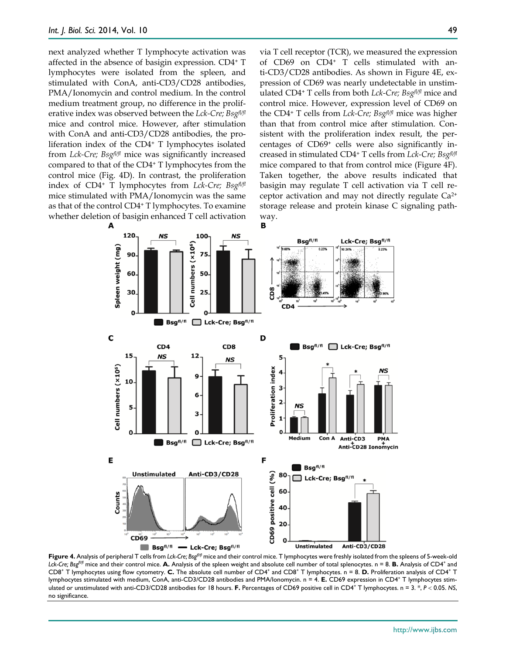next analyzed whether T lymphocyte activation was affected in the absence of basigin expression. CD4+ T lymphocytes were isolated from the spleen, and stimulated with ConA, anti-CD3/CD28 antibodies, PMA/Ionomycin and control medium. In the control medium treatment group, no difference in the proliferative index was observed between the *Lck-Cre; Bsgfl/fl* mice and control mice. However, after stimulation with ConA and anti-CD3/CD28 antibodies, the proliferation index of the CD4+ T lymphocytes isolated from *Lck-Cre; Bsgfl/fl* mice was significantly increased compared to that of the CD4+ T lymphocytes from the control mice (Fig. 4D). In contrast, the proliferation index of CD4+ T lymphocytes from *Lck-Cre; Bsgfl/fl* mice stimulated with PMA/Ionomycin was the same as that of the control CD4+ T lymphocytes. To examine whether deletion of basigin enhanced T cell activation

via T cell receptor (TCR), we measured the expression of CD69 on CD4+ T cells stimulated with anti-CD3/CD28 antibodies. As shown in Figure 4E, expression of CD69 was nearly undetectable in unstimulated CD4+ T cells from both *Lck-Cre; Bsgfl/fl* mice and control mice. However, expression level of CD69 on the CD4+ T cells from *Lck-Cre; Bsgfl/fl* mice was higher than that from control mice after stimulation. Consistent with the proliferation index result, the percentages of CD69+ cells were also significantly increased in stimulated CD4+ T cells from *Lck-Cre; Bsgfl/fl* mice compared to that from control mice (Figure 4F). Taken together, the above results indicated that basigin may regulate T cell activation via T cell receptor activation and may not directly regulate Ca2+ storage release and protein kinase C signaling pathway.<br>**B** 



**Figure 4.** Analysis of peripheral T cells from *Lck-Cre; Bsgfl/fl* mice and their control mice. T lymphocytes were freshly isolated from the spleens of 5-week-old Lck-Cre; Bsg<sup>fl/f</sup> mice and their control mice. **A.** Analysis of the spleen weight and absolute cell number of total splenocytes. n = 8. **B.** Analysis of CD4<sup>+</sup> and CD8<sup>+</sup> T lymphocytes using flow cytometry. **C.** The absolute cell number of CD4<sup>+</sup> and CD8<sup>+</sup> T lymphocytes. n = 8. **D.** Proliferation analysis of CD4<sup>+</sup> T lymphocytes stimulated with medium, ConA, anti-CD3/CD28 antibodies and PMA/Ionomycin. n = 4. **E.** CD69 expression in CD4+ T lymphocytes stimulated or unstimulated with anti-CD3/CD28 antibodies for 18 hours. **F.** Percentages of CD69 positive cell in CD4<sup>+</sup> T lymphocytes. n = 3. \*, *P* < 0.05. NS, no significance.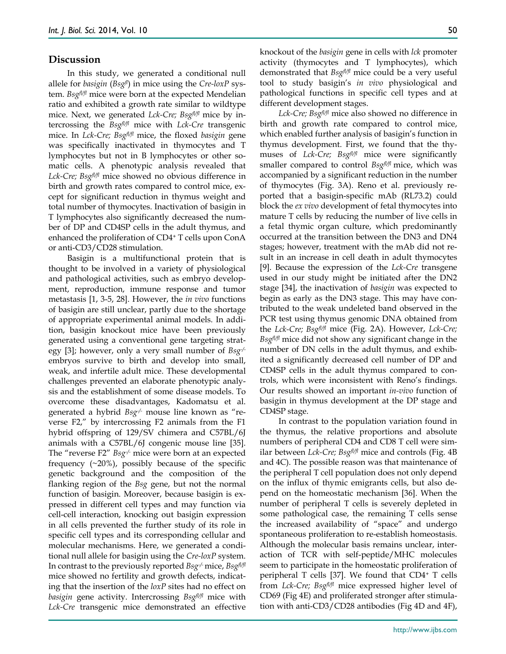## **Discussion**

In this study, we generated a conditional null allele for *basigin* (*Bsgfl*) in mice using the *Cre-loxP* system. *Bsgfl/fl* mice were born at the expected Mendelian ratio and exhibited a growth rate similar to wildtype mice. Next, we generated *Lck-Cre; Bsgfl/fl* mice by intercrossing the *Bsgfl/fl* mice with *Lck-Cre* transgenic mice. In *Lck-Cre; Bsgfl/fl* mice, the floxed *basigin* gene was specifically inactivated in thymocytes and T lymphocytes but not in B lymphocytes or other somatic cells. A phenotypic analysis revealed that *Lck-Cre; Bsgfl/fl* mice showed no obvious difference in birth and growth rates compared to control mice, except for significant reduction in thymus weight and total number of thymocytes. Inactivation of basigin in T lymphocytes also significantly decreased the number of DP and CD4SP cells in the adult thymus, and enhanced the proliferation of CD4+ T cells upon ConA or anti-CD3/CD28 stimulation.

Basigin is a multifunctional protein that is thought to be involved in a variety of physiological and pathological activities, such as embryo development, reproduction, immune response and tumor metastasis [1, 3-5, 28]. However, the *in vivo* functions of basigin are still unclear, partly due to the shortage of appropriate experimental animal models. In addition, basigin knockout mice have been previously generated using a conventional gene targeting strategy [3]; however, only a very small number of *Bsg-/* embryos survive to birth and develop into small, weak, and infertile adult mice. These developmental challenges prevented an elaborate phenotypic analysis and the establishment of some disease models. To overcome these disadvantages, Kadomatsu et al. generated a hybrid *Bsg-/-* mouse line known as "reverse F2," by intercrossing F2 animals from the F1 hybrid offspring of 129/SV chimera and C57BL/6J animals with a C57BL/6J congenic mouse line [35]. The "reverse F2" *Bsg-/-* mice were born at an expected frequency  $(\sim 20\%)$ , possibly because of the specific genetic background and the composition of the flanking region of the *Bsg* gene, but not the normal function of basigin. Moreover, because basigin is expressed in different cell types and may function via cell-cell interaction, knocking out basigin expression in all cells prevented the further study of its role in specific cell types and its corresponding cellular and molecular mechanisms. Here, we generated a conditional null allele for basigin using the *Cre-loxP* system. In contrast to the previously reported *Bsg-/-*mice, *Bsgfl/fl* mice showed no fertility and growth defects, indicating that the insertion of the *loxP* sites had no effect on *basigin* gene activity. Intercrossing *Bsgfl/fl* mice with *Lck-Cre* transgenic mice demonstrated an effective

knockout of the *basigin* gene in cells with *lck* promoter activity (thymocytes and T lymphocytes), which demonstrated that *Bsgfl/fl* mice could be a very useful tool to study basigin's *in vivo* physiological and pathological functions in specific cell types and at different development stages.

*Lck-Cre; Bsgfl/fl* mice also showed no difference in birth and growth rate compared to control mice, which enabled further analysis of basigin's function in thymus development. First, we found that the thymuses of *Lck-Cre; Bsgfl/fl* mice were significantly smaller compared to control *Bsgfl/fl* mice, which was accompanied by a significant reduction in the number of thymocytes (Fig. 3A). Reno et al. previously reported that a basigin-specific mAb (RL73.2) could block the *ex vivo* development of fetal thymocytes into mature T cells by reducing the number of live cells in a fetal thymic organ culture, which predominantly occurred at the transition between the DN3 and DN4 stages; however, treatment with the mAb did not result in an increase in cell death in adult thymocytes [9]. Because the expression of the *Lck-Cre* transgene used in our study might be initiated after the DN2 stage [34], the inactivation of *basigin* was expected to begin as early as the DN3 stage. This may have contributed to the weak undeleted band observed in the PCR test using thymus genomic DNA obtained from the *Lck-Cre; Bsgfl/fl* mice (Fig. 2A). However, *Lck-Cre; Bsgfl/fl* mice did not show any significant change in the number of DN cells in the adult thymus, and exhibited a significantly decreased cell number of DP and CD4SP cells in the adult thymus compared to controls, which were inconsistent with Reno's findings. Our results showed an important *in-vivo* function of basigin in thymus development at the DP stage and CD4SP stage.

In contrast to the population variation found in the thymus, the relative proportions and absolute numbers of peripheral CD4 and CD8 T cell were similar between *Lck-Cre; Bsgfl/fl* mice and controls (Fig. 4B and 4C). The possible reason was that maintenance of the peripheral T cell population does not only depend on the influx of thymic emigrants cells, but also depend on the homeostatic mechanism [36]. When the number of peripheral T cells is severely depleted in some pathological case, the remaining T cells sense the increased availability of "space" and undergo spontaneous proliferation to re-establish homeostasis. Although the molecular basis remains unclear, interaction of TCR with self-peptide/MHC molecules seem to participate in the homeostatic proliferation of peripheral T cells [37]. We found that CD4+ T cells from *Lck-Cre; Bsgfl/fl* mice expressed higher level of CD69 (Fig 4E) and proliferated stronger after stimulation with anti-CD3/CD28 antibodies (Fig 4D and 4F),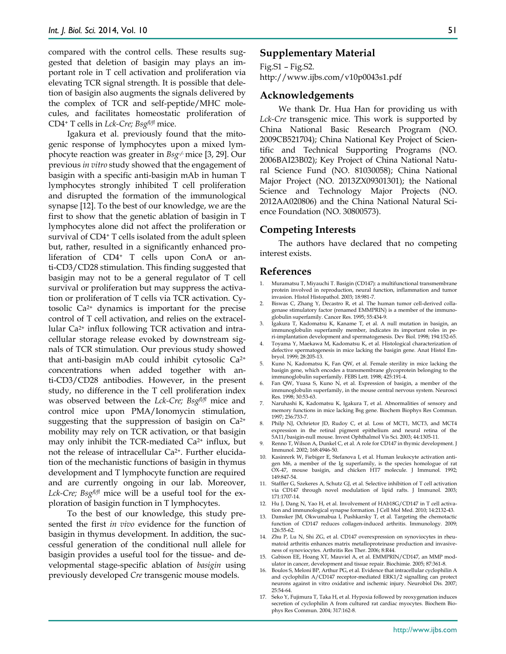compared with the control cells. These results suggested that deletion of basigin may plays an important role in T cell activation and proliferation via elevating TCR signal strength. It is possible that deletion of basigin also augments the signals delivered by the complex of TCR and self-peptide/MHC molecules, and facilitates homeostatic proliferation of CD4+ T cells in *Lck-Cre; Bsgfl/fl* mice.

Igakura et al. previously found that the mitogenic response of lymphocytes upon a mixed lymphocyte reaction was greater in *Bsg-/-* mice [3, 29]. Our previous *in vitro* study showed that the engagement of basigin with a specific anti-basigin mAb in human T lymphocytes strongly inhibited T cell proliferation and disrupted the formation of the immunological synapse [12]. To the best of our knowledge, we are the first to show that the genetic ablation of basigin in T lymphocytes alone did not affect the proliferation or survival of CD4<sup>+</sup> T cells isolated from the adult spleen but, rather, resulted in a significantly enhanced proliferation of CD4+ T cells upon ConA or anti-CD3/CD28 stimulation. This finding suggested that basigin may not to be a general regulator of T cell survival or proliferation but may suppress the activation or proliferation of T cells via TCR activation. Cytosolic  $Ca<sup>2+</sup>$  dynamics is important for the precise control of T cell activation, and relies on the extracellular Ca2+ influx following TCR activation and intracellular storage release evoked by downstream signals of TCR stimulation. Our previous study showed that anti-basigin mAb could inhibit cytosolic Ca2+ concentrations when added together with anti-CD3/CD28 antibodies. However, in the present study, no difference in the T cell proliferation index was observed between the *Lck-Cre; Bsgfl/fl* mice and control mice upon PMA/Ionomycin stimulation, suggesting that the suppression of basigin on  $Ca^{2+}$ mobility may rely on TCR activation, or that basigin may only inhibit the TCR-mediated Ca2+ influx, but not the release of intracellular Ca2+. Further elucidation of the mechanistic functions of basigin in thymus development and T lymphocyte function are required and are currently ongoing in our lab. Moreover, *Lck-Cre; Bsgfl/fl* mice will be a useful tool for the exploration of basigin function in T lymphocytes.

To the best of our knowledge, this study presented the first *in vivo* evidence for the function of basigin in thymus development. In addition, the successful generation of the conditional null allele for basigin provides a useful tool for the tissue- and developmental stage-specific ablation of *basigin* using previously developed *Cre* transgenic mouse models.

## **Supplementary Material**

Fig.S1 – Fig.S2. http://www.ijbs.com/v10p0043s1.pdf

#### **Acknowledgements**

We thank Dr. Hua Han for providing us with *Lck-Cre* transgenic mice. This work is supported by China National Basic Research Program (NO. 2009CB521704); China National Key Project of Scientific and Technical Supporting Programs (NO. 2006BAI23B02); Key Project of China National Natural Science Fund (NO. 81030058); China National Major Project (NO. 2013ZX09301301); the National Science and Technology Major Projects (NO. 2012AA020806) and the China National Natural Science Foundation (NO. 30800573).

## **Competing Interests**

The authors have declared that no competing interest exists.

#### **References**

- 1. Muramatsu T, Miyauchi T. Basigin (CD147): a multifunctional transmembrane protein involved in reproduction, neural function, inflammation and tumor invasion. Histol Histopathol. 2003; 18:981-7.
- 2. Biswas C, Zhang Y, Decastro R, et al. The human tumor cell-derived collagenase stimulatory factor (renamed EMMPRIN) is a member of the immunoglobulin superfamily. Cancer Res. 1995; 55:434-9.
- 3. Igakura T, Kadomatsu K, Kaname T, et al. A null mutation in basigin, an immunoglobulin superfamily member, indicates its important roles in peri-implantation development and spermatogenesis. Dev Biol. 1998; 194:152-65.
- 4. Toyama Y, Maekawa M, Kadomatsu K, et al. Histological characterization of defective spermatogenesis in mice lacking the basigin gene. Anat Histol Embryol. 1999; 28:205-13.
- 5. Kuno N, Kadomatsu K, Fan QW, et al. Female sterility in mice lacking the basigin gene, which encodes a transmembrane glycoprotein belonging to the immunoglobulin superfamily. FEBS Lett. 1998; 425:191-4.
- 6. Fan QW, Yuasa S, Kuno N, et al. Expression of basigin, a member of the immunoglobulin superfamily, in the mouse central nervous system. Neurosci Res. 1998; 30:53-63.
- 7. Naruhashi K, Kadomatsu K, Igakura T, et al. Abnormalities of sensory and memory functions in mice lacking Bsg gene. Biochem Biophys Res Commun. 1997; 236:733-7.
- 8. Philp NJ, Ochrietor JD, Rudoy C, et al. Loss of MCT1, MCT3, and MCT4 expression in the retinal pigment epithelium and neural retina of the 5A11/basigin-null mouse. Invest Ophthalmol Vis Sci. 2003; 44:1305-11.
- 9. Renno T, Wilson A, Dunkel C, et al. A role for CD147 in thymic development. J Immunol. 2002; 168:4946-50.
- 10. Kasinrerk W, Fiebiger E, Stefanova I, et al. Human leukocyte activation antigen M6, a member of the Ig superfamily, is the species homologue of rat OX-47, mouse basigin, and chicken HT7 molecule. J Immunol. 1992; 149:847-54.
- 11. Staffler G, Szekeres A, Schutz GJ, et al. Selective inhibition of T cell activation via CD147 through novel modulation of lipid rafts. J Immunol. 2003; 171:1707-14.
- 12. Hu J, Dang N, Yao H, et al. Involvement of HAb18G/CD147 in T cell activation and immunological synapse formation. J Cell Mol Med. 2010; 14:2132-43.
- 13. Damsker JM, Okwumabua I, Pushkarsky T, et al. Targeting the chemotactic function of CD147 reduces collagen-induced arthritis. Immunology. 2009; 126:55-62.
- 14. Zhu P, Lu N, Shi ZG, et al. CD147 overexpression on synoviocytes in rheumatoid arthritis enhances matrix metalloproteinase production and invasiveness of synoviocytes. Arthritis Res Ther. 2006; 8:R44.
- 15. Gabison EE, Hoang XT, Mauviel A, et al. EMMPRIN/CD147, an MMP modulator in cancer, development and tissue repair. Biochimie. 2005; 87:361-8.
- 16. Boulos S, Meloni BP, Arthur PG, et al. Evidence that intracellular cyclophilin A and cyclophilin A/CD147 receptor-mediated ERK1/2 signalling can protect neurons against in vitro oxidative and ischemic injury. Neurobiol Dis. 2007; 25:54-64.
- 17. Seko Y, Fujimura T, Taka H, et al. Hypoxia followed by reoxygenation induces secretion of cyclophilin A from cultured rat cardiac myocytes. Biochem Biophys Res Commun. 2004; 317:162-8.